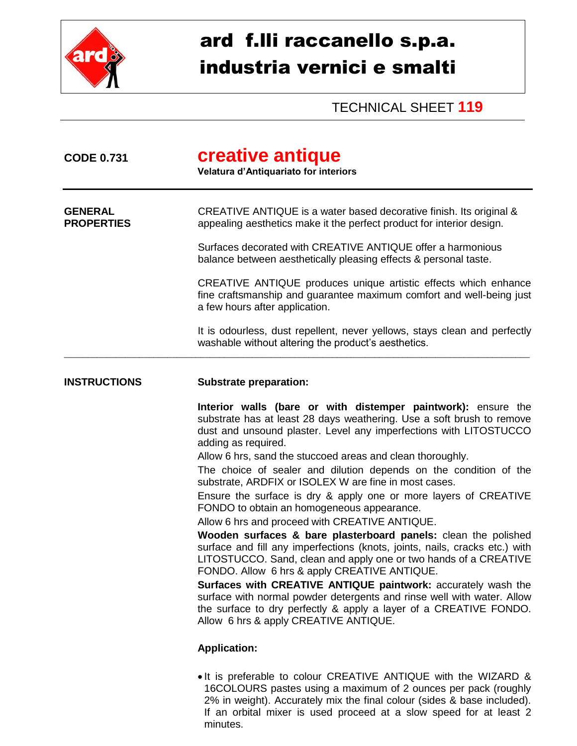

## ard f.lli raccanello s.p.a. industria vernici e smalti

TECHNICAL SHEET **119**

| <b>CODE 0.731</b>                   | creative antique<br>Velatura d'Antiquariato for interiors                                                                                                                                                                                                                                                                                                                                                                                                                                                                                                                                                                                                                                                                                                                                                                                                                                                                                                                                                                                                                                                                        |
|-------------------------------------|----------------------------------------------------------------------------------------------------------------------------------------------------------------------------------------------------------------------------------------------------------------------------------------------------------------------------------------------------------------------------------------------------------------------------------------------------------------------------------------------------------------------------------------------------------------------------------------------------------------------------------------------------------------------------------------------------------------------------------------------------------------------------------------------------------------------------------------------------------------------------------------------------------------------------------------------------------------------------------------------------------------------------------------------------------------------------------------------------------------------------------|
| <b>GENERAL</b><br><b>PROPERTIES</b> | CREATIVE ANTIQUE is a water based decorative finish. Its original &<br>appealing aesthetics make it the perfect product for interior design.                                                                                                                                                                                                                                                                                                                                                                                                                                                                                                                                                                                                                                                                                                                                                                                                                                                                                                                                                                                     |
|                                     | Surfaces decorated with CREATIVE ANTIQUE offer a harmonious<br>balance between aesthetically pleasing effects & personal taste.                                                                                                                                                                                                                                                                                                                                                                                                                                                                                                                                                                                                                                                                                                                                                                                                                                                                                                                                                                                                  |
|                                     | CREATIVE ANTIQUE produces unique artistic effects which enhance<br>fine craftsmanship and guarantee maximum comfort and well-being just<br>a few hours after application.                                                                                                                                                                                                                                                                                                                                                                                                                                                                                                                                                                                                                                                                                                                                                                                                                                                                                                                                                        |
|                                     | It is odourless, dust repellent, never yellows, stays clean and perfectly<br>washable without altering the product's aesthetics.                                                                                                                                                                                                                                                                                                                                                                                                                                                                                                                                                                                                                                                                                                                                                                                                                                                                                                                                                                                                 |
| <b>INSTRUCTIONS</b>                 | <b>Substrate preparation:</b>                                                                                                                                                                                                                                                                                                                                                                                                                                                                                                                                                                                                                                                                                                                                                                                                                                                                                                                                                                                                                                                                                                    |
|                                     | Interior walls (bare or with distemper paintwork): ensure the<br>substrate has at least 28 days weathering. Use a soft brush to remove<br>dust and unsound plaster. Level any imperfections with LITOSTUCCO<br>adding as required.<br>Allow 6 hrs, sand the stuccoed areas and clean thoroughly.<br>The choice of sealer and dilution depends on the condition of the<br>substrate, ARDFIX or ISOLEX W are fine in most cases.<br>Ensure the surface is dry & apply one or more layers of CREATIVE<br>FONDO to obtain an homogeneous appearance.<br>Allow 6 hrs and proceed with CREATIVE ANTIQUE.<br>Wooden surfaces & bare plasterboard panels: clean the polished<br>surface and fill any imperfections (knots, joints, nails, cracks etc.) with<br>LITOSTUCCO. Sand, clean and apply one or two hands of a CREATIVE<br>FONDO. Allow 6 hrs & apply CREATIVE ANTIQUE.<br>Surfaces with CREATIVE ANTIQUE paintwork: accurately wash the<br>surface with normal powder detergents and rinse well with water. Allow<br>the surface to dry perfectly & apply a layer of a CREATIVE FONDO.<br>Allow 6 hrs & apply CREATIVE ANTIQUE. |
|                                     | <b>Application:</b>                                                                                                                                                                                                                                                                                                                                                                                                                                                                                                                                                                                                                                                                                                                                                                                                                                                                                                                                                                                                                                                                                                              |
|                                     |                                                                                                                                                                                                                                                                                                                                                                                                                                                                                                                                                                                                                                                                                                                                                                                                                                                                                                                                                                                                                                                                                                                                  |

• It is preferable to colour CREATIVE ANTIQUE with the WIZARD & 16COLOURS pastes using a maximum of 2 ounces per pack (roughly 2% in weight). Accurately mix the final colour (sides & base included). If an orbital mixer is used proceed at a slow speed for at least 2 minutes.